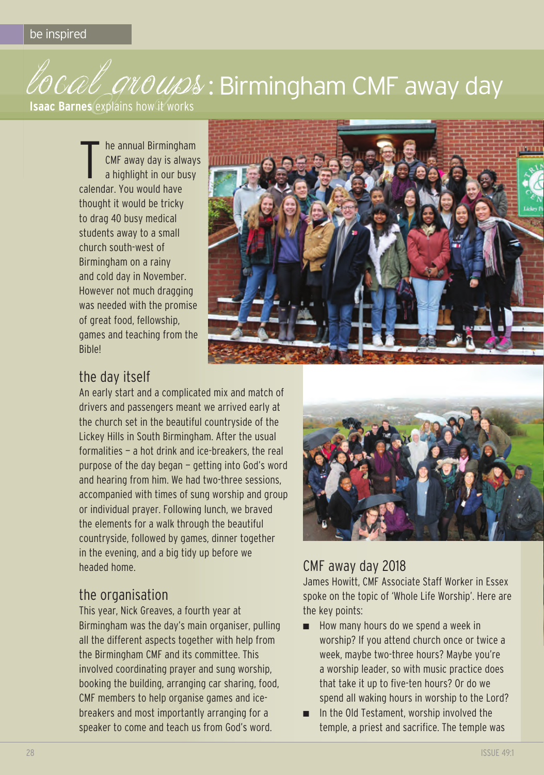# COCOL GROUDS: Birmingham CMF away day

**Isaac Barnes** explains how it works

t he annual birmingham cMF away day is always a highlight in our busy calendar. You would have thought it would be tricky to drag 40 busy medical students away to a small church south-west of birmingham on a rainy and cold day in November. However not much dragging was needed with the promise of great food, fellowship, games and teaching from the **Bible!** 



## the day itself

An early start and a complicated mix and match of drivers and passengers meant we arrived early at the church set in the beautiful countryside of the lickey Hills in South birmingham. After the usual formalities — a hot drink and ice-breakers, the real purpose of the day began — getting into god's word and hearing from him. We had two-three sessions, accompanied with times of sung worship and group or individual prayer. Following lunch, we braved the elements for a walk through the beautiful countryside, followed by games, dinner together in the evening, and a big tidy up before we headed home.

#### the organisation

This year, Nick Greaves, a fourth year at birmingham was the day's main organiser, pulling all the different aspects together with help from the Birmingham CMF and its committee. This involved coordinating prayer and sung worship, booking the building, arranging car sharing, food, cMF members to help organise games and icebreakers and most importantly arranging for a speaker to come and teach us from God's word.



### cMF away day 2018

James Howitt, cMF Associate Staff Worker in Essex spoke on the topic of 'Whole life Worship'. Here are the key points:

- How many hours do we spend a week in worship? If you attend church once or twice a week, maybe two-three hours? Maybe you're a worship leader, so with music practice does that take it up to five-ten hours? Or do we spend all waking hours in worship to the lord?
- In the Old Testament, worship involved the temple, a priest and sacrifice. The temple was